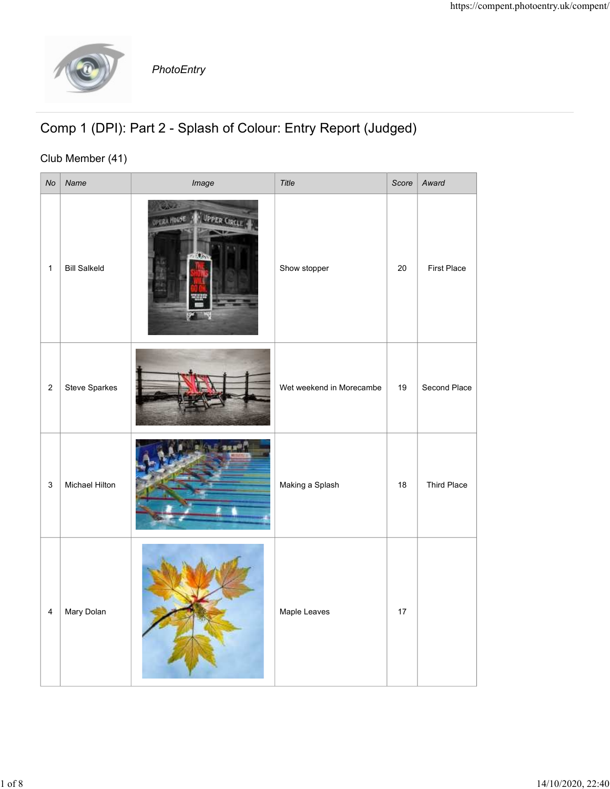

## Comp 1 (DPI): Part 2 - Splash of Colour: Entry Report (Judged)

## Club Member (41)

|                |                     | PhotoEntry                                                     |                          |        | https://compent.photoentry.uk/compent/ |
|----------------|---------------------|----------------------------------------------------------------|--------------------------|--------|----------------------------------------|
|                | Club Member (41)    | Comp 1 (DPI): Part 2 - Splash of Colour: Entry Report (Judged) |                          |        |                                        |
| $\mathsf{No}$  | Name                | Image                                                          | Title                    | Score  | Award                                  |
| $\mathbf{1}$   | <b>Bill Salkeld</b> | UPPER CIRCLE<br><b><i>UPERA HOUSE</i></b>                      | Show stopper             | $20\,$ | First Place                            |
| $\overline{2}$ | Steve Sparkes       |                                                                | Wet weekend in Morecambe | 19     | Second Place                           |
| $\mathsf 3$    | Michael Hilton      |                                                                | Making a Splash          | 18     | <b>Third Place</b>                     |
| $\overline{4}$ | Mary Dolan          |                                                                | Maple Leaves             | 17     |                                        |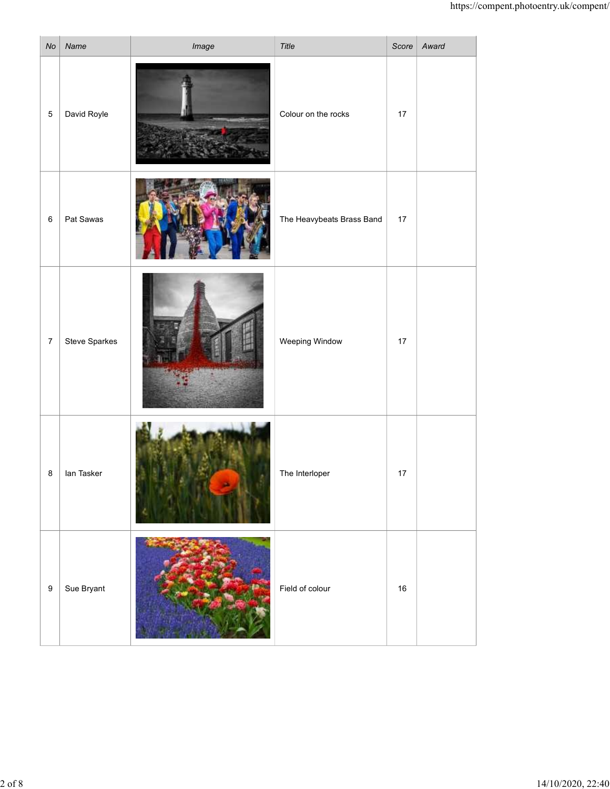|                  |               |       |                           |        | https://compent.photoentry.uk/compent/ |
|------------------|---------------|-------|---------------------------|--------|----------------------------------------|
| No               | Name          | Image | Title                     |        | Score Award                            |
| $5\phantom{.0}$  | David Royle   |       | Colour on the rocks       | $17$   |                                        |
| $6\overline{6}$  | Pat Sawas     |       | The Heavybeats Brass Band | 17     |                                        |
| $\overline{7}$   | Steve Sparkes |       | Weeping Window            | $17$   |                                        |
| $\bf 8$          | lan Tasker    |       | The Interloper            | $17$   |                                        |
| $\boldsymbol{9}$ | Sue Bryant    |       | Field of colour           | $16\,$ |                                        |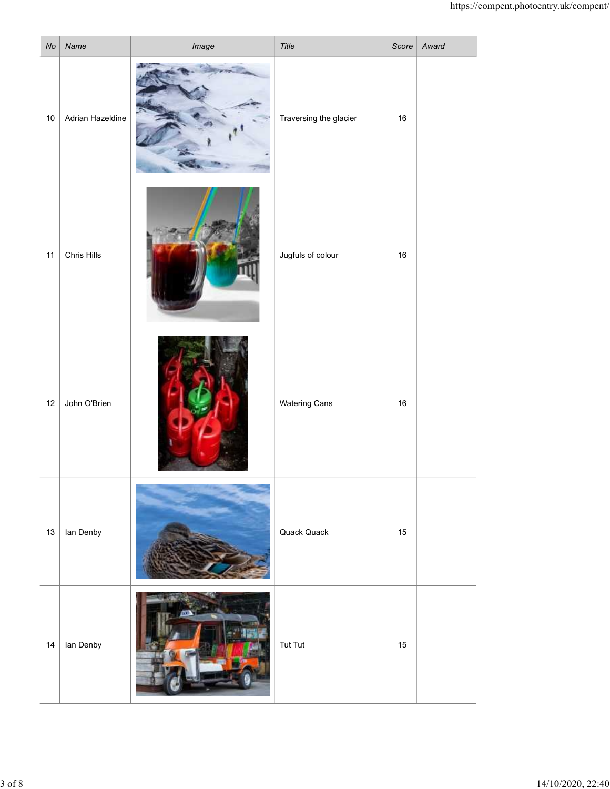|    |                  |                |                        |        | https://compent.photoentry.uk/compent/ |
|----|------------------|----------------|------------------------|--------|----------------------------------------|
| No | Name             | Image          | Title                  |        | Score   Award                          |
| 10 | Adrian Hazeldine |                | Traversing the glacier | $16\,$ |                                        |
| 11 | Chris Hills      | œ              | Jugfuls of colour      | $16\,$ |                                        |
| 12 | John O'Brien     |                | <b>Watering Cans</b>   | $16\,$ |                                        |
|    | 13   Ian Denby   |                | Quack Quack            | $15\,$ |                                        |
| 14 | lan Denby        | <b>COMPANY</b> | Tut Tut                | 15     |                                        |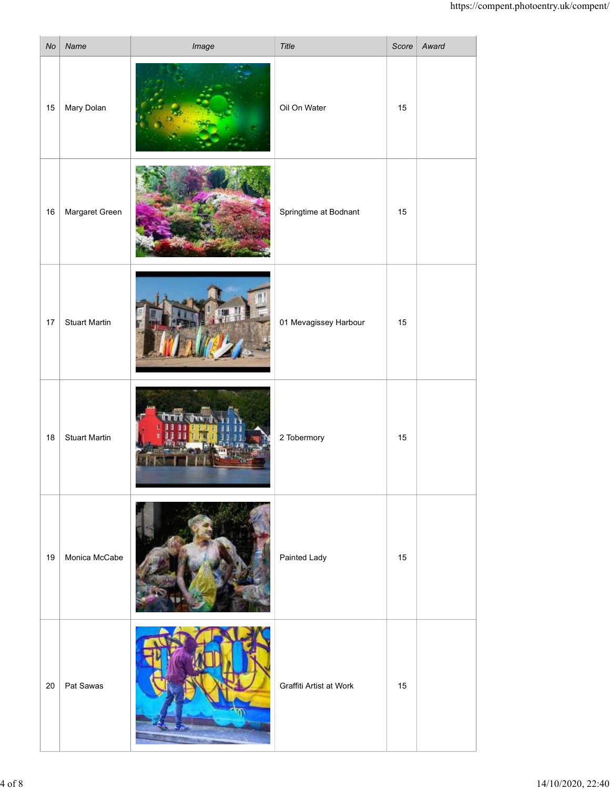|        |                      |       |                         |      | https://compent.photoentry.uk/compent/ |
|--------|----------------------|-------|-------------------------|------|----------------------------------------|
| No     | Name                 | Image | Title                   |      | Score Award                            |
| 15     | Mary Dolan           |       | Oil On Water            | 15   |                                        |
| 16     | Margaret Green       |       | Springtime at Bodnant   | $15$ |                                        |
| $17$   | <b>Stuart Martin</b> |       | 01 Mevagissey Harbour   | 15   |                                        |
| $18\,$ | <b>Stuart Martin</b> |       | 2 Tobermory             | $15$ |                                        |
| 19     | Monica McCabe        |       | Painted Lady            | 15   |                                        |
| 20     | Pat Sawas            |       | Graffiti Artist at Work | 15   |                                        |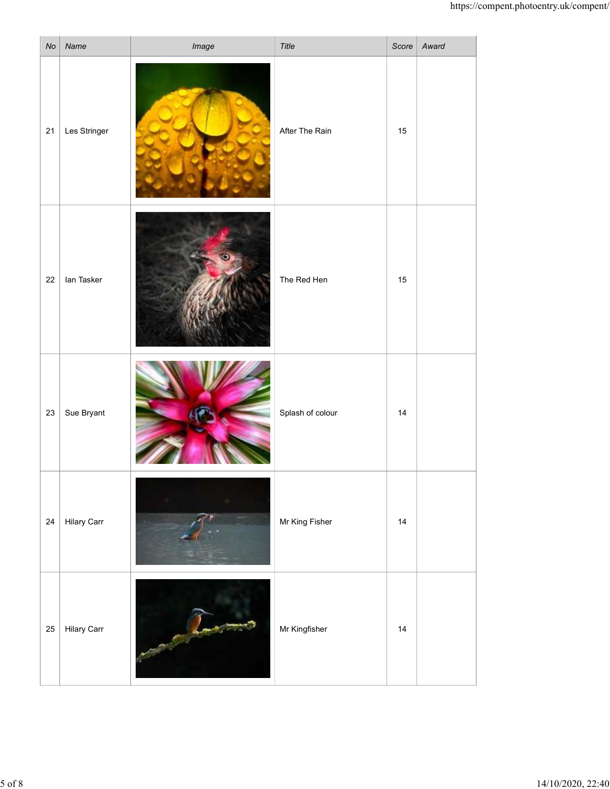|        |                                                |       |                  |                      | https://compent.photoentry.uk/compent/ |
|--------|------------------------------------------------|-------|------------------|----------------------|----------------------------------------|
| No     | Name                                           | Image | Title            |                      | Score Award                            |
| 21     | Les Stringer                                   |       | After The Rain   | 15                   |                                        |
| 22     | lan Tasker                                     |       | The Red Hen      | $15$                 |                                        |
| 23     | Sue Bryant                                     |       | Splash of colour | 14                   |                                        |
| 24     | <b>Hilary Carr</b>                             |       | Mr King Fisher   | 14                   |                                        |
| $25\,$ | <b>Hilary Carr</b><br>$\overline{\phantom{a}}$ |       | Mr Kingfisher    | 14<br>$\overline{a}$ | the control of the control of          |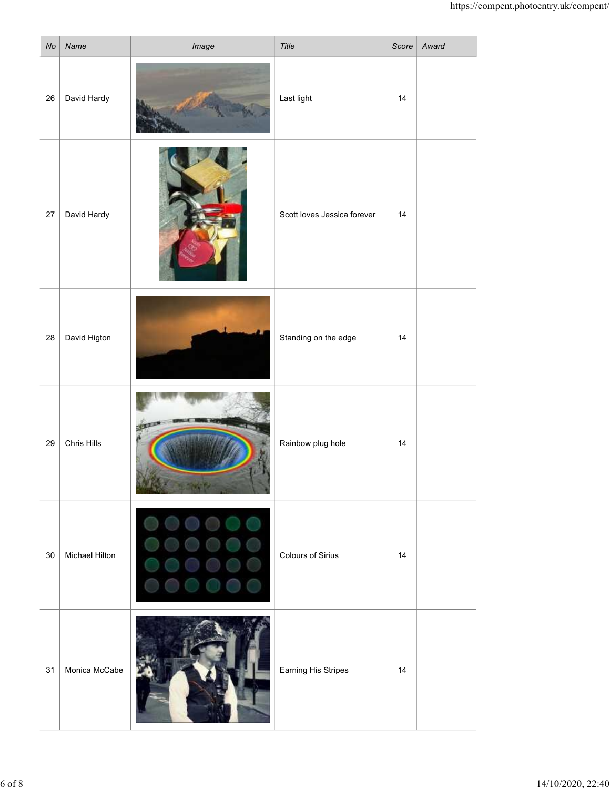|                 |                |              |                             |    | https://compent.photoentry.uk/compent/ |
|-----------------|----------------|--------------|-----------------------------|----|----------------------------------------|
| No              | Name           | Image        | Title                       |    | Score   Award                          |
| 26              | David Hardy    |              | Last light                  | 14 |                                        |
| 27              | David Hardy    |              | Scott loves Jessica forever | 14 |                                        |
| 28              | David Higton   |              | Standing on the edge        | 14 |                                        |
| 29              | Chris Hills    | <b>ALLES</b> | Rainbow plug hole           | 14 |                                        |
| 30 <sup>°</sup> | Michael Hilton |              | <b>Colours of Sirius</b>    | 14 |                                        |
| 31              | Monica McCabe  | FRIE         | Earning His Stripes         | 14 |                                        |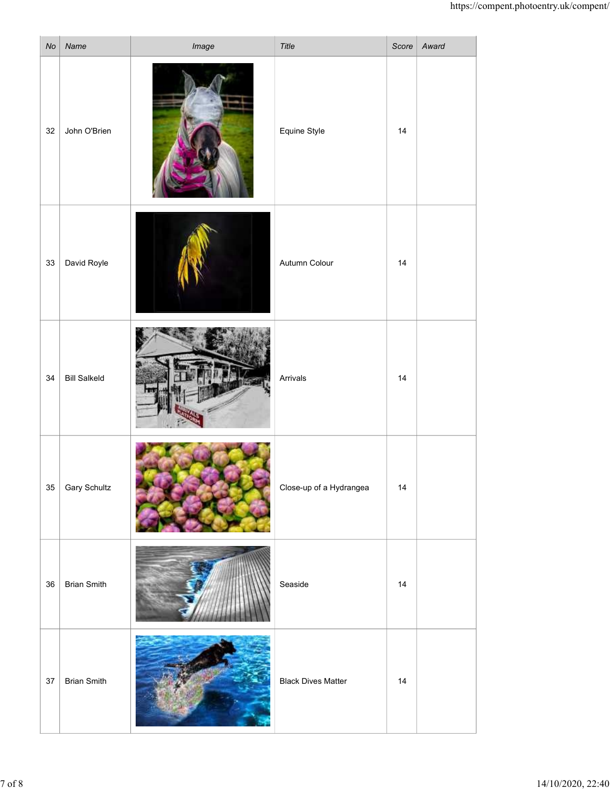|    |                     |       |                           |    | https://compent.photoentry.uk/compent/ |
|----|---------------------|-------|---------------------------|----|----------------------------------------|
| No | Name                | Image | Title                     |    | Score   Award                          |
| 32 | John O'Brien        |       | Equine Style              | 14 |                                        |
|    | 33 David Royle      |       | Autumn Colour             | 14 |                                        |
| 34 | <b>Bill Salkeld</b> |       | Arrivals                  | 14 |                                        |
| 35 | <b>Gary Schultz</b> |       | Close-up of a Hydrangea   | 14 |                                        |
| 36 | <b>Brian Smith</b>  |       | Seaside                   | 14 |                                        |
|    | 37   Brian Smith    |       | <b>Black Dives Matter</b> | 14 |                                        |